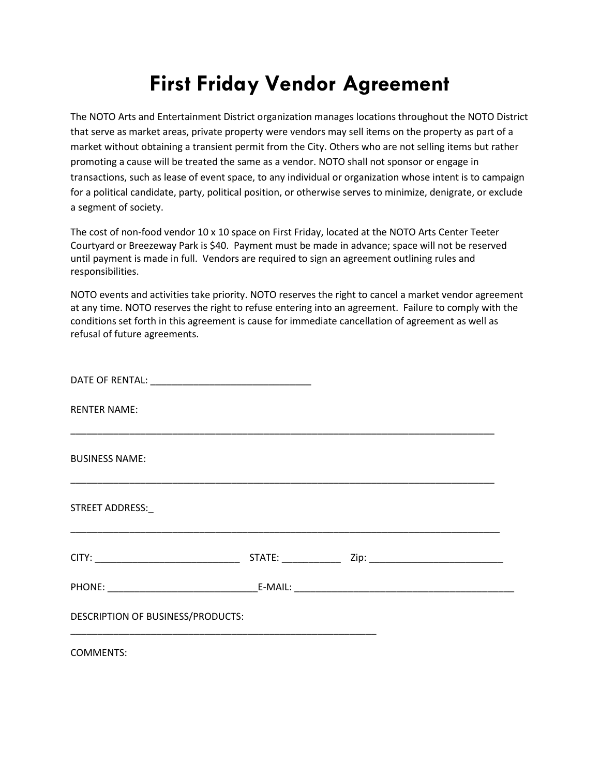## **First Friday Vendor Agreement**

The NOTO Arts and Entertainment District organization manages locations throughout the NOTO District that serve as market areas, private property were vendors may sell items on the property as part of a market without obtaining a transient permit from the City. Others who are not selling items but rather promoting a cause will be treated the same as a vendor. NOTO shall not sponsor or engage in transactions, such as lease of event space, to any individual or organization whose intent is to campaign for a political candidate, party, political position, or otherwise serves to minimize, denigrate, or exclude a segment of society.

The cost of non-food vendor 10 x 10 space on First Friday, located at the NOTO Arts Center Teeter Courtyard or Breezeway Park is \$40. Payment must be made in advance; space will not be reserved until payment is made in full. Vendors are required to sign an agreement outlining rules and responsibilities.

NOTO events and activities take priority. NOTO reserves the right to cancel a market vendor agreement at any time. NOTO reserves the right to refuse entering into an agreement. Failure to comply with the conditions set forth in this agreement is cause for immediate cancellation of agreement as well as refusal of future agreements.

| <b>RENTER NAME:</b>               |  |  |
|-----------------------------------|--|--|
| <b>BUSINESS NAME:</b>             |  |  |
| STREET ADDRESS:                   |  |  |
|                                   |  |  |
|                                   |  |  |
| DESCRIPTION OF BUSINESS/PRODUCTS: |  |  |
| 0.0111170                         |  |  |

COMMENTS: